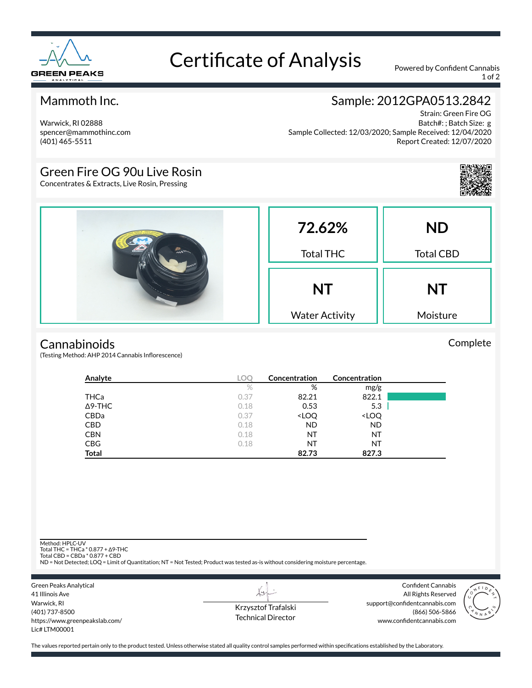

# Certificate of Analysis Powered by Confident Cannabis

1 of 2

### Mammoth Inc.

Warwick, RI 02888 spencer@mammothinc.com (401) 465-5511

## Sample: 2012GPA0513.2842

Strain: Green Fire OG Batch#: ; Batch Size: g Sample Collected: 12/03/2020; Sample Received: 12/04/2020 Report Created: 12/07/2020

## Green Fire OG 90u Live Rosin

Concentrates & Extracts, Live Rosin, Pressing



#### **Cannabinoids**

(Testing Method: AHP 2014 Cannabis Inflorescence)

| Analyte        | LOC  | Concentration                                            | Concentration                |  |
|----------------|------|----------------------------------------------------------|------------------------------|--|
|                | $\%$ | %                                                        | mg/g                         |  |
| <b>THCa</b>    | 0.37 | 82.21                                                    | 822.1                        |  |
| $\Delta$ 9-THC | 0.18 | 0.53                                                     | 5.3                          |  |
| CBDa           | 0.37 | <loq< th=""><th><loq< th=""><th></th></loq<></th></loq<> | <loq< th=""><th></th></loq<> |  |
| <b>CBD</b>     | 0.18 | <b>ND</b>                                                | <b>ND</b>                    |  |
| <b>CBN</b>     | 0.18 | ΝT                                                       | NT                           |  |
| <b>CBG</b>     | 0.18 | ΝT                                                       | NT                           |  |
| <b>Total</b>   |      | 82.73                                                    | 827.3                        |  |

Method: HPLC-UV

Total THC = THCa \* 0.877 + ∆9-THC Total CBD = CBDa \* 0.877 + CBD

ND = Not Detected; LOQ = Limit of Quantitation; NT = Not Tested; Product was tested as-is without considering moisture percentage.

Green Peaks Analytical 41 Illinois Ave Warwick, RI (401) 737-8500 https://www.greenpeakslab.com/ Lic# LTM00001

Krzysztof Trafalski Technical Director

L+

Confident Cannabis All Rights Reserved support@confidentcannabis.com (866) 506-5866 www.confidentcannabis.com



The values reported pertain only to the product tested. Unless otherwise stated all quality control samples performed within specifications established by the Laboratory.

Complete